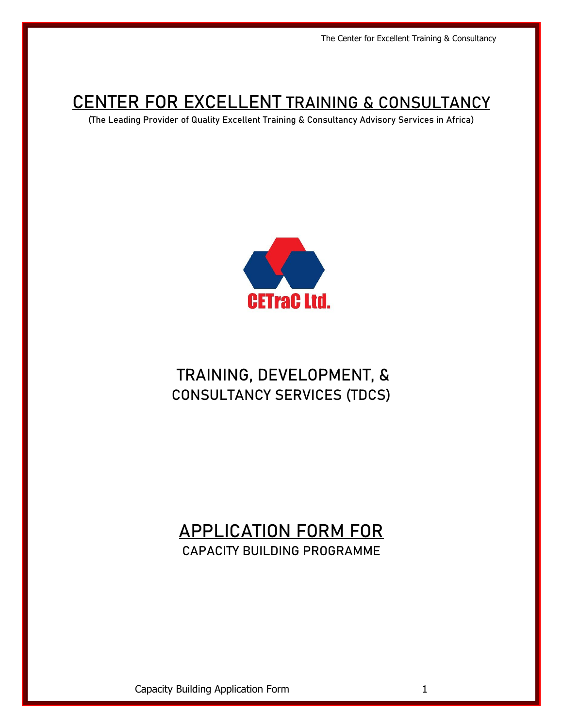# **CENTER FOR EXCELLENT TRAINING & CONSULTANCY**

(The Leading Provider of Quality Excellent Training & Consultancy Advisory Services in Africa)



# TRAINING, DEVELOPMENT, & CONSULTANCY SERVICES (TDCS)

# APPLICATION FORM FOR CAPACITY BUILDING PROGRAMME

Capacity Building Application Form 1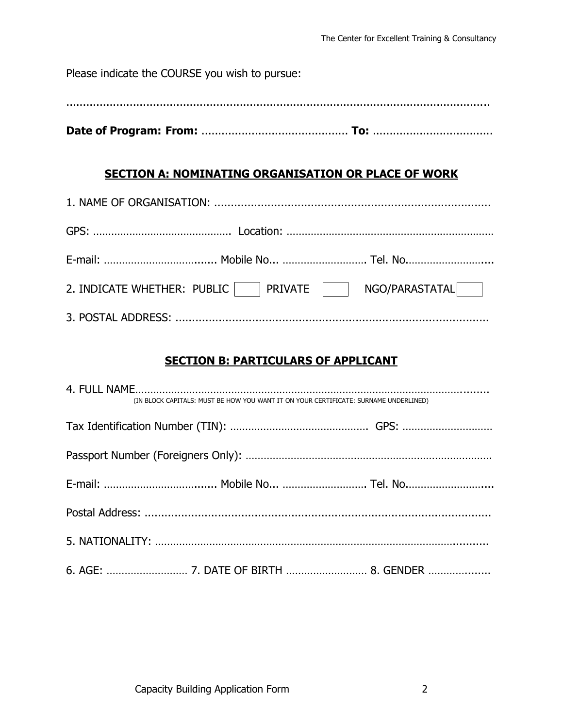Please indicate the COURSE you wish to pursue:

...............................................................................................................................

**Date of Program: From:** ............................................ **To:** ....................................

## **SECTION A: NOMINATING ORGANISATION OR PLACE OF WORK**

| 2. INDICATE WHETHER: PUBLIC   RRIVATE   NGO/PARASTATAL |  |
|--------------------------------------------------------|--|
|                                                        |  |

## **SECTION B: PARTICULARS OF APPLICANT**

|  | (IN BLOCK CAPITALS: MUST BE HOW YOU WANT IT ON YOUR CERTIFICATE: SURNAME UNDERLINED) |
|--|--------------------------------------------------------------------------------------|
|  |                                                                                      |
|  |                                                                                      |
|  |                                                                                      |
|  |                                                                                      |
|  |                                                                                      |
|  |                                                                                      |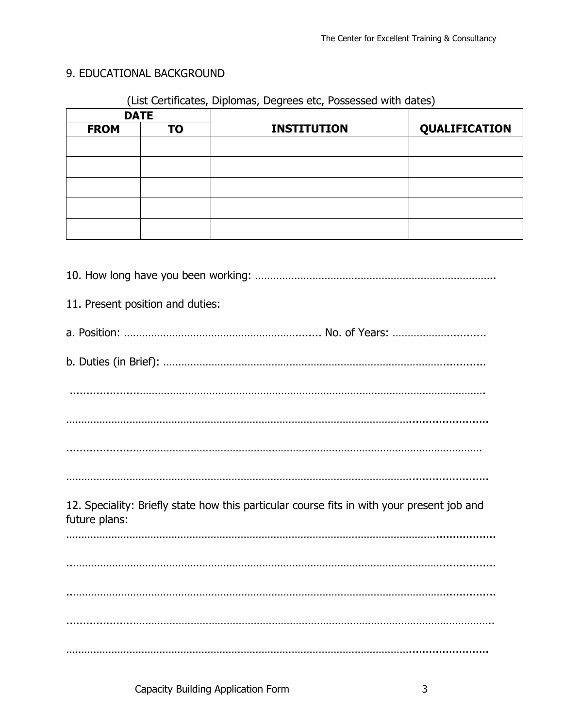# 9. EDUCATIONAL BACKGROUND

### (List Certificates, Diplomas, Degrees etc, Possessed with dates)

|             | <b>DATE</b> |                    |               |
|-------------|-------------|--------------------|---------------|
| <b>FROM</b> | <b>TO</b>   | <b>INSTITUTION</b> | QUALIFICATION |
|             |             |                    |               |
|             |             |                    |               |
|             |             |                    |               |
|             |             |                    |               |
|             |             |                    |               |

| 11. Present position and duties:                                                                            |
|-------------------------------------------------------------------------------------------------------------|
|                                                                                                             |
|                                                                                                             |
|                                                                                                             |
|                                                                                                             |
|                                                                                                             |
|                                                                                                             |
| 12. Speciality: Briefly state how this particular course fits in with your present job and<br>future plans: |
|                                                                                                             |
|                                                                                                             |
|                                                                                                             |
|                                                                                                             |
|                                                                                                             |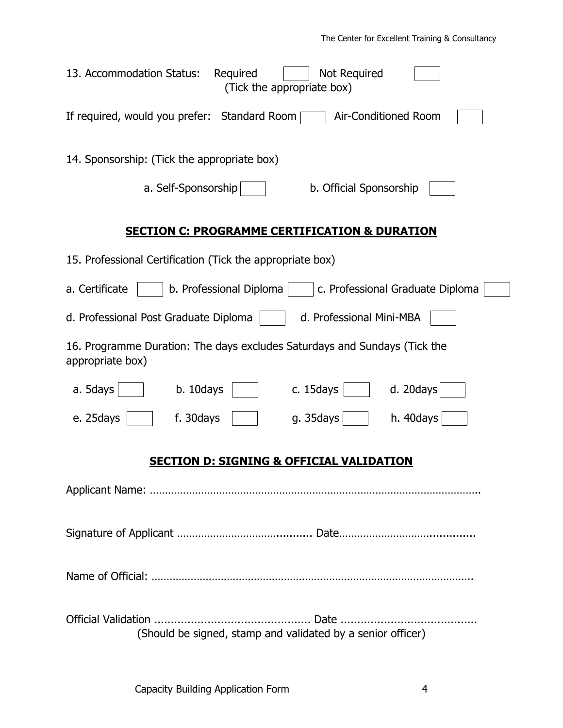| 13. Accommodation Status:<br>Not Required<br>Required<br>(Tick the appropriate box)           |
|-----------------------------------------------------------------------------------------------|
| If required, would you prefer: Standard Room<br>Air-Conditioned Room                          |
| 14. Sponsorship: (Tick the appropriate box)                                                   |
| a. Self-Sponsorship<br>b. Official Sponsorship                                                |
| <b>SECTION C: PROGRAMME CERTIFICATION &amp; DURATION</b>                                      |
| 15. Professional Certification (Tick the appropriate box)                                     |
| a. Certificate<br>b. Professional Diploma<br>c. Professional Graduate Diploma                 |
| d. Professional Post Graduate Diploma<br>d. Professional Mini-MBA                             |
| 16. Programme Duration: The days excludes Saturdays and Sundays (Tick the<br>appropriate box) |
| d. 20 $days$<br>a. 5days<br>b. 10days<br>c. 15days                                            |
| e. 25days<br>f. 30days<br>g. 35days<br>h. 40days                                              |
| <u>SECTION D: SIGNING &amp; OFFICIAL VALIDATION</u>                                           |
|                                                                                               |
|                                                                                               |
|                                                                                               |
| (Should be signed, stamp and validated by a senior officer)                                   |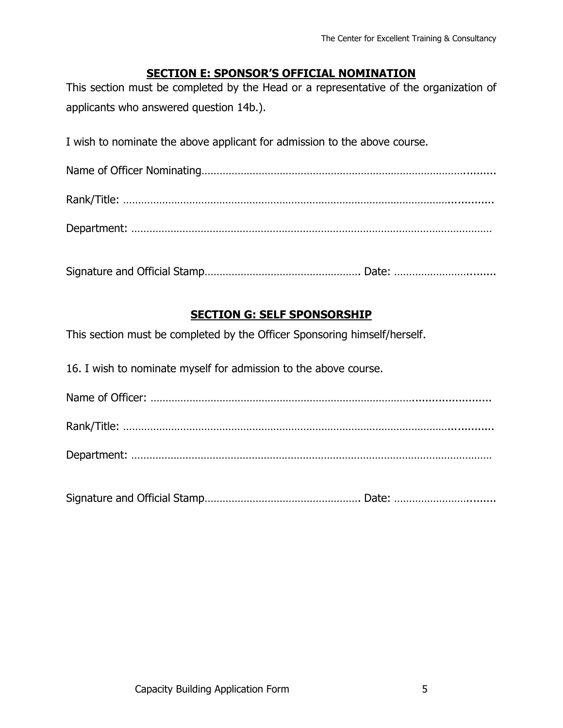#### **SECTION E: SPONSOR'S OFFICIAL NOMINATION**

This section must be completed by the Head or a representative of the organization of applicants who answered question 14b.).

I wish to nominate the above applicant for admission to the above course.

Signature and Official Stamp……………………………………………. Date: …………………….........

### **SECTION G: SELF SPONSORSHIP**

This section must be completed by the Officer Sponsoring himself/herself.

16. I wish to nominate myself for admission to the above course.

Name of Officer: ……………………………………………………………………………........................ Rank/Title: ……………………………………………………………………………………………….............. Department: …………………………………………………………………………………………………………

Signature and Official Stamp……………………………………………. Date: …………………….........